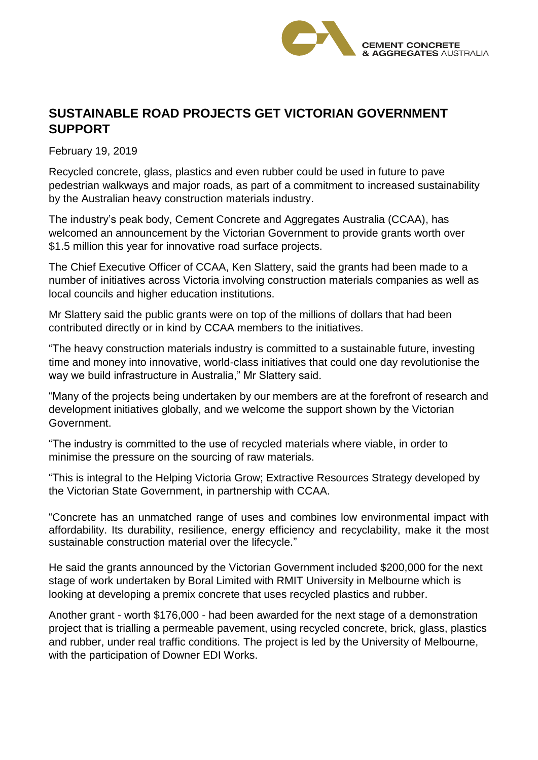

## **SUSTAINABLE ROAD PROJECTS GET VICTORIAN GOVERNMENT SUPPORT**

February 19, 2019

Recycled concrete, glass, plastics and even rubber could be used in future to pave pedestrian walkways and major roads, as part of a commitment to increased sustainability by the Australian heavy construction materials industry.

The industry's peak body, Cement Concrete and Aggregates Australia (CCAA), has welcomed an announcement by the Victorian Government to provide grants worth over \$1.5 million this year for innovative road surface projects.

The Chief Executive Officer of CCAA, Ken Slattery, said the grants had been made to a number of initiatives across Victoria involving construction materials companies as well as local councils and higher education institutions.

Mr Slattery said the public grants were on top of the millions of dollars that had been contributed directly or in kind by CCAA members to the initiatives.

"The heavy construction materials industry is committed to a sustainable future, investing time and money into innovative, world-class initiatives that could one day revolutionise the way we build infrastructure in Australia," Mr Slattery said.

"Many of the projects being undertaken by our members are at the forefront of research and development initiatives globally, and we welcome the support shown by the Victorian Government.

"The industry is committed to the use of recycled materials where viable, in order to minimise the pressure on the sourcing of raw materials.

"This is integral to the Helping Victoria Grow; Extractive Resources Strategy developed by the Victorian State Government, in partnership with CCAA.

"Concrete has an unmatched range of uses and combines low environmental impact with affordability. Its durability, resilience, energy efficiency and recyclability, make it the most sustainable construction material over the lifecycle."

He said the grants announced by the Victorian Government included \$200,000 for the next stage of work undertaken by Boral Limited with RMIT University in Melbourne which is looking at developing a premix concrete that uses recycled plastics and rubber.

Another grant - worth \$176,000 - had been awarded for the next stage of a demonstration project that is trialling a permeable pavement, using recycled concrete, brick, glass, plastics and rubber, under real traffic conditions. The project is led by the University of Melbourne, with the participation of Downer EDI Works.